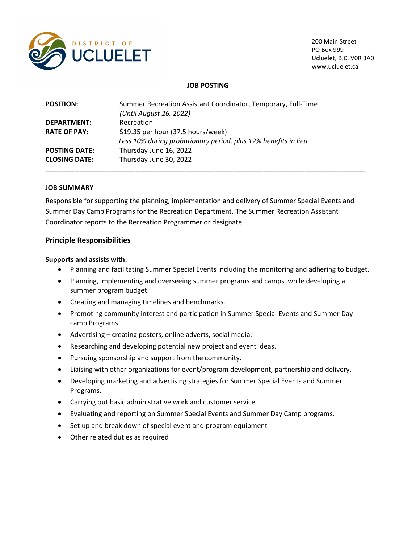

#### **JOB POSTING**

| <b>POSITION:</b>     | Summer Recreation Assistant Coordinator, Temporary, Full-Time<br>(Until August 26, 2022) |
|----------------------|------------------------------------------------------------------------------------------|
|                      |                                                                                          |
| <b>DEPARTMENT:</b>   | Recreation                                                                               |
| <b>RATE OF PAY:</b>  | \$19.35 per hour (37.5 hours/week)                                                       |
|                      | Less 10% during probationary period, plus 12% benefits in lieu                           |
| <b>POSTING DATE:</b> | Thursday June 16, 2022                                                                   |
| <b>CLOSING DATE:</b> | Thursday June 30, 2022                                                                   |
|                      |                                                                                          |

#### **JOB SUMMARY**

Responsible for supporting the planning, implementation and delivery of Summer Special Events and Summer Day Camp Programs for the Recreation Department. The Summer Recreation Assistant Coordinator reports to the Recreation Programmer or designate.

### **Principle Responsibilities**

#### **Supports and assists with:**

- Planning and facilitating Summer Special Events including the monitoring and adhering to budget.
- Planning, implementing and overseeing summer programs and camps, while developing a summer program budget.
- Creating and managing timelines and benchmarks.
- Promoting community interest and participation in Summer Special Events and Summer Day camp Programs.
- Advertising creating posters, online adverts, social media.
- Researching and developing potential new project and event ideas.
- Pursuing sponsorship and support from the community.
- Liaising with other organizations for event/program development, partnership and delivery.
- Developing marketing and advertising strategies for Summer Special Events and Summer Programs.
- Carrying out basic administrative work and customer service
- Evaluating and reporting on Summer Special Events and Summer Day Camp programs.
- Set up and break down of special event and program equipment
- Other related duties as required